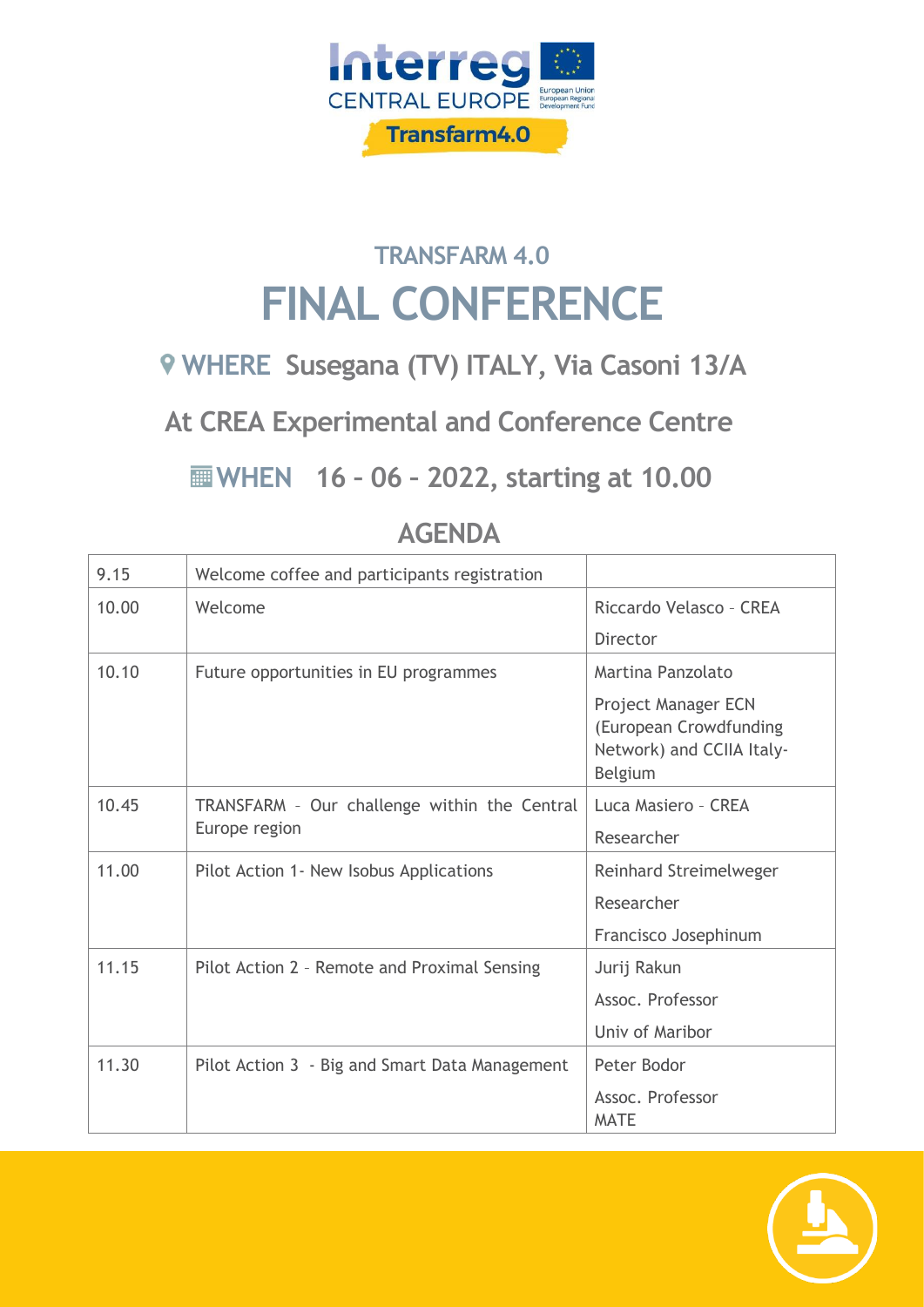

## **TRANSFARM 4.0 FINAL CONFERENCE**

## **WHERE Susegana (TV) ITALY, Via Casoni 13/A**

**At CREA Experimental and Conference Centre**

**WHEN 16 – 06 – 2022, starting at 10.00**

| 9.15  | Welcome coffee and participants registration                  |                                                                                       |
|-------|---------------------------------------------------------------|---------------------------------------------------------------------------------------|
| 10.00 | Welcome                                                       | Riccardo Velasco - CREA                                                               |
|       |                                                               | Director                                                                              |
| 10.10 | Future opportunities in EU programmes                         | Martina Panzolato                                                                     |
|       |                                                               | Project Manager ECN<br>(European Crowdfunding<br>Network) and CCIIA Italy-<br>Belgium |
| 10.45 | TRANSFARM - Our challenge within the Central<br>Europe region | Luca Masiero - CREA                                                                   |
|       |                                                               | Researcher                                                                            |
| 11.00 | Pilot Action 1 - New Isobus Applications                      | Reinhard Streimelweger                                                                |
|       |                                                               | Researcher                                                                            |
|       |                                                               | Francisco Josephinum                                                                  |
| 11.15 | Pilot Action 2 - Remote and Proximal Sensing                  | Jurij Rakun                                                                           |
|       |                                                               | Assoc. Professor                                                                      |
|       |                                                               | Univ of Maribor                                                                       |
| 11.30 | Pilot Action 3 - Big and Smart Data Management                | Peter Bodor                                                                           |
|       |                                                               | Assoc. Professor<br><b>MATE</b>                                                       |

## **AGENDA**